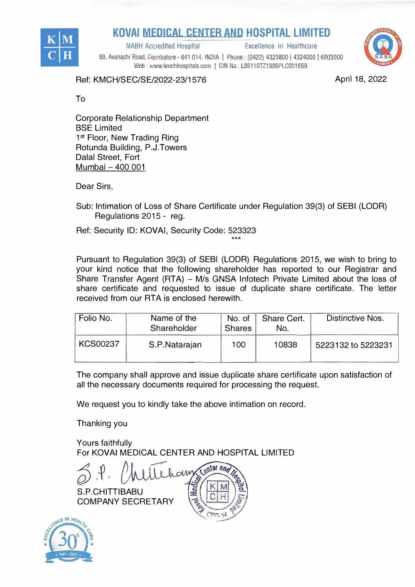

## **KOVAI MEDICAL CENTER AND HOSPITAL LIMITED**<br>
NABH Accredited Hospital **Excellence in Healthcare**

NABH Accredited Hospital

99, Avanashi Road, Coimbatore - 641 014. INDIA | Phone: (0422) 4323800 | 4324000 | 6803000 Web: www.kmchhospitals.com | CIN No: L85110TZ1985PLC001659



Ref: KMCH/SEC/SE/2022-23/1576

April 18, 2022

To

Corporate Relationship Department **BSE Limited** 1st Floor, New Trading Ring Rotunda Building, P.J.Towers Dalal Street, Fort Mumbai - 400 001

Dear Sirs,

Sub: Intimation of Loss of Share Certificate under Regulation 39(3) of SEBI (LODA) Regulations 2015 - reg.

Ref: Security ID: KOVAi, Security Code: 523323

Pursuant to Regulation 39(3) of SEBI (LODA) Regulations 2015, we wish to bring to your kind notice that the following shareholder has reported to our Registrar and Share Transfer Agent (RTA) - M/s GNSA Infotech Private Limited about the loss of share certificate and requested to issue of duplicate share certificate. The letter received from our RTA is enclosed herewith.

\*\*\*

| Folio No.       | Name of the<br>Shareholder | No. of<br><b>Shares</b> | Share Cert.<br>No. | <b>Distinctive Nos.</b> |  |
|-----------------|----------------------------|-------------------------|--------------------|-------------------------|--|
| <b>KCS00237</b> | S.P.Natarajan              | 100                     | 10838              | 5223132 to 5223231      |  |

The company shall approve and issue duplicate share certificate upon satisfaction of all the necessary documents required for processing the request.

We request you to kindly take the above intimation on record.

Thanking you

Yours faithfully For KOVAi MEDICAL CENTER AND HOSPITAL LIMITED

 $\bigotimes^{\bullet}$ . $\mathfrak{P}$ . Mar and S.P.CHITTIBABU COMPANY SECRETARY